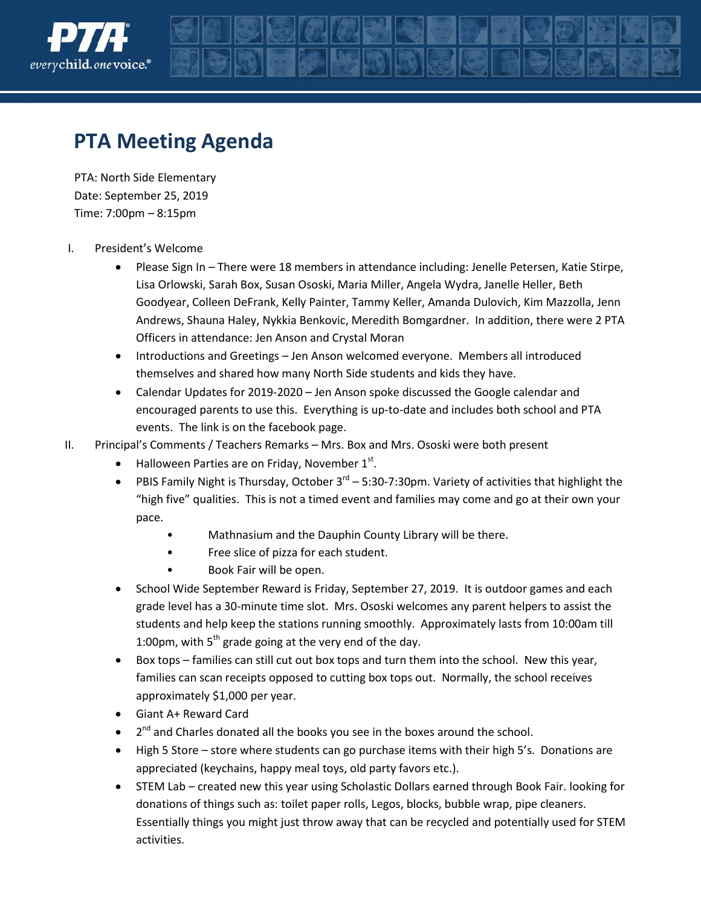

## **PTA Meeting Agenda**

PTA: North Side Elementary Date: September 25, 2019 Time: 7:00pm – 8:15pm

- I. President's Welcome
	- Please Sign In There were 18 members in attendance including: Jenelle Petersen, Katie Stirpe, Lisa Orlowski, Sarah Box, Susan Ososki, Maria Miller, Angela Wydra, Janelle Heller, Beth Goodyear, Colleen DeFrank, Kelly Painter, Tammy Keller, Amanda Dulovich, Kim Mazzolla, Jenn Andrews, Shauna Haley, Nykkia Benkovic, Meredith Bomgardner. In addition, there were 2 PTA Officers in attendance: Jen Anson and Crystal Moran
	- Introductions and Greetings Jen Anson welcomed everyone. Members all introduced themselves and shared how many North Side students and kids they have.
	- Calendar Updates for 2019-2020 Jen Anson spoke discussed the Google calendar and encouraged parents to use this. Everything is up-to-date and includes both school and PTA events. The link is on the facebook page.
- II. Principal's Comments / Teachers Remarks Mrs. Box and Mrs. Ososki were both present
	- $\bullet$  Halloween Parties are on Friday, November  $1^{st}$ .
	- PBIS Family Night is Thursday, October  $3^{rd}$  5:30-7:30pm. Variety of activities that highlight the "high five" qualities. This is not a timed event and families may come and go at their own your pace.
		- Mathnasium and the Dauphin County Library will be there.
		- Free slice of pizza for each student.
		- Book Fair will be open.
	- School Wide September Reward is Friday, September 27, 2019. It is outdoor games and each grade level has a 30-minute time slot. Mrs. Ososki welcomes any parent helpers to assist the students and help keep the stations running smoothly. Approximately lasts from 10:00am till 1:00pm, with  $5<sup>th</sup>$  grade going at the very end of the day.
	- Box tops families can still cut out box tops and turn them into the school. New this year, families can scan receipts opposed to cutting box tops out. Normally, the school receives approximately \$1,000 per year.
	- Giant A+ Reward Card
	- $\bullet$   $2^{nd}$  and Charles donated all the books you see in the boxes around the school.
	- High 5 Store store where students can go purchase items with their high 5's. Donations are appreciated (keychains, happy meal toys, old party favors etc.).
	- STEM Lab created new this year using Scholastic Dollars earned through Book Fair. looking for donations of things such as: toilet paper rolls, Legos, blocks, bubble wrap, pipe cleaners. Essentially things you might just throw away that can be recycled and potentially used for STEM activities.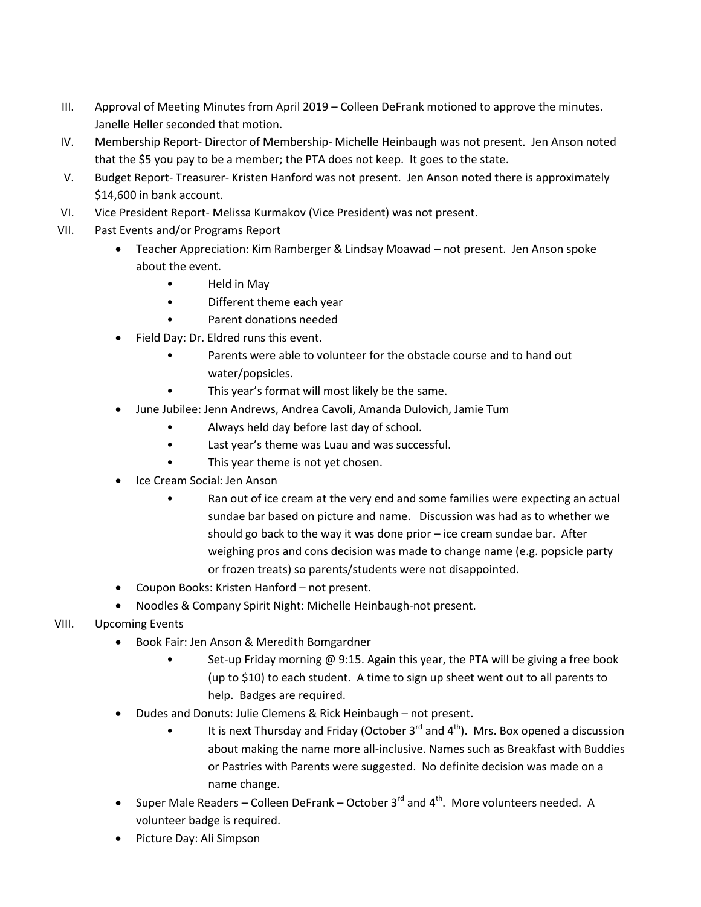- III. Approval of Meeting Minutes from April 2019 Colleen DeFrank motioned to approve the minutes. Janelle Heller seconded that motion.
- IV. Membership Report- Director of Membership- Michelle Heinbaugh was not present. Jen Anson noted that the \$5 you pay to be a member; the PTA does not keep. It goes to the state.
- V. Budget Report- Treasurer- Kristen Hanford was not present. Jen Anson noted there is approximately \$14,600 in bank account.
- VI. Vice President Report- Melissa Kurmakov (Vice President) was not present.
- VII. Past Events and/or Programs Report
	- Teacher Appreciation: Kim Ramberger & Lindsay Moawad not present. Jen Anson spoke about the event.
		- Held in May
		- Different theme each year
		- Parent donations needed
	- Field Day: Dr. Eldred runs this event.
		- Parents were able to volunteer for the obstacle course and to hand out water/popsicles.
		- This year's format will most likely be the same.
	- June Jubilee: Jenn Andrews, Andrea Cavoli, Amanda Dulovich, Jamie Tum
		- Always held day before last day of school.
		- Last year's theme was Luau and was successful.
		- This year theme is not yet chosen.
	- Ice Cream Social: Jen Anson
		- Ran out of ice cream at the very end and some families were expecting an actual sundae bar based on picture and name. Discussion was had as to whether we should go back to the way it was done prior – ice cream sundae bar. After weighing pros and cons decision was made to change name (e.g. popsicle party or frozen treats) so parents/students were not disappointed.
	- Coupon Books: Kristen Hanford not present.
	- Noodles & Company Spirit Night: Michelle Heinbaugh-not present.
- VIII. Upcoming Events
	- Book Fair: Jen Anson & Meredith Bomgardner
		- Set-up Friday morning @ 9:15. Again this year, the PTA will be giving a free book (up to \$10) to each student. A time to sign up sheet went out to all parents to help. Badges are required.
	- Dudes and Donuts: Julie Clemens & Rick Heinbaugh not present.
		- It is next Thursday and Friday (October  $3^{rd}$  and  $4^{th}$ ). Mrs. Box opened a discussion about making the name more all-inclusive. Names such as Breakfast with Buddies or Pastries with Parents were suggested. No definite decision was made on a name change.
	- Super Male Readers Colleen DeFrank October  $3^{rd}$  and  $4^{th}$ . More volunteers needed. A volunteer badge is required.
	- Picture Day: Ali Simpson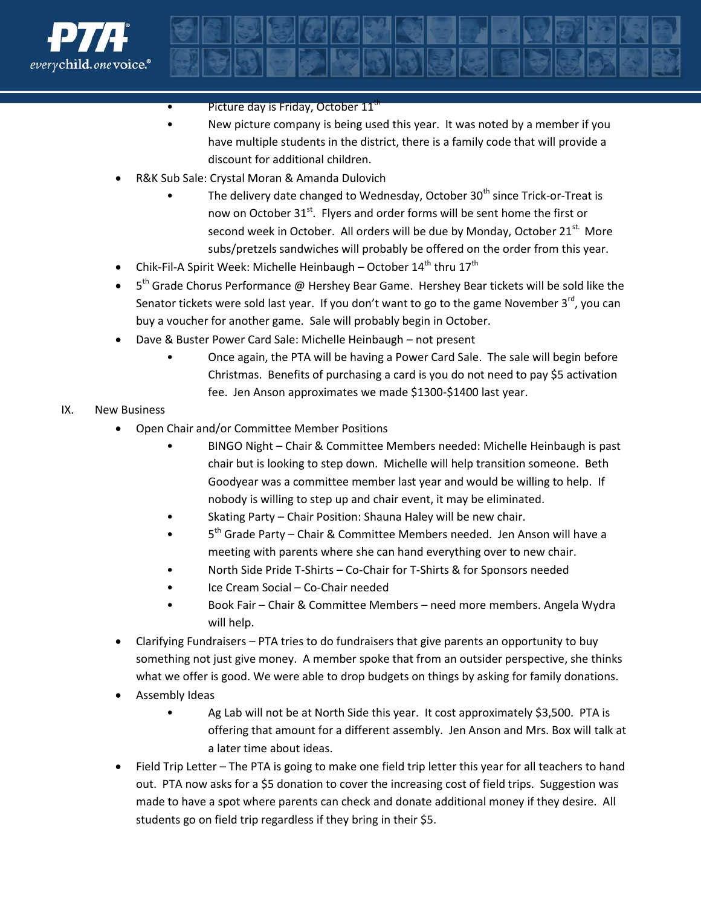

- Picture day is Friday, October  $11<sup>t</sup>$
- New picture company is being used this year. It was noted by a member if you have multiple students in the district, there is a family code that will provide a discount for additional children.
- R&K Sub Sale: Crystal Moran & Amanda Dulovich
	- The delivery date changed to Wednesday, October 30<sup>th</sup> since Trick-or-Treat is now on October 31<sup>st</sup>. Flyers and order forms will be sent home the first or second week in October. All orders will be due by Monday, October 21<sup>st.</sup> More subs/pretzels sandwiches will probably be offered on the order from this year.
- Chik-Fil-A Spirit Week: Michelle Heinbaugh October  $14^{th}$  thru  $17^{th}$
- $\bullet$  5<sup>th</sup> Grade Chorus Performance @ Hershey Bear Game. Hershey Bear tickets will be sold like the Senator tickets were sold last year. If you don't want to go to the game November 3<sup>rd</sup>, you can buy a voucher for another game. Sale will probably begin in October.
- Dave & Buster Power Card Sale: Michelle Heinbaugh not present
	- Once again, the PTA will be having a Power Card Sale. The sale will begin before Christmas. Benefits of purchasing a card is you do not need to pay \$5 activation fee. Jen Anson approximates we made \$1300-\$1400 last year.

## IX. New Business

- Open Chair and/or Committee Member Positions
	- BINGO Night Chair & Committee Members needed: Michelle Heinbaugh is past chair but is looking to step down. Michelle will help transition someone. Beth Goodyear was a committee member last year and would be willing to help. If nobody is willing to step up and chair event, it may be eliminated.
	- Skating Party Chair Position: Shauna Haley will be new chair.
	- 5<sup>th</sup> Grade Party Chair & Committee Members needed. Jen Anson will have a meeting with parents where she can hand everything over to new chair.
	- North Side Pride T-Shirts Co-Chair for T-Shirts & for Sponsors needed
	- Ice Cream Social Co-Chair needed
	- Book Fair Chair & Committee Members need more members. Angela Wydra will help.
- Clarifying Fundraisers PTA tries to do fundraisers that give parents an opportunity to buy something not just give money. A member spoke that from an outsider perspective, she thinks what we offer is good. We were able to drop budgets on things by asking for family donations.
- Assembly Ideas
	- Ag Lab will not be at North Side this year. It cost approximately \$3,500. PTA is offering that amount for a different assembly. Jen Anson and Mrs. Box will talk at a later time about ideas.
- Field Trip Letter The PTA is going to make one field trip letter this year for all teachers to hand out. PTA now asks for a \$5 donation to cover the increasing cost of field trips. Suggestion was made to have a spot where parents can check and donate additional money if they desire. All students go on field trip regardless if they bring in their \$5.